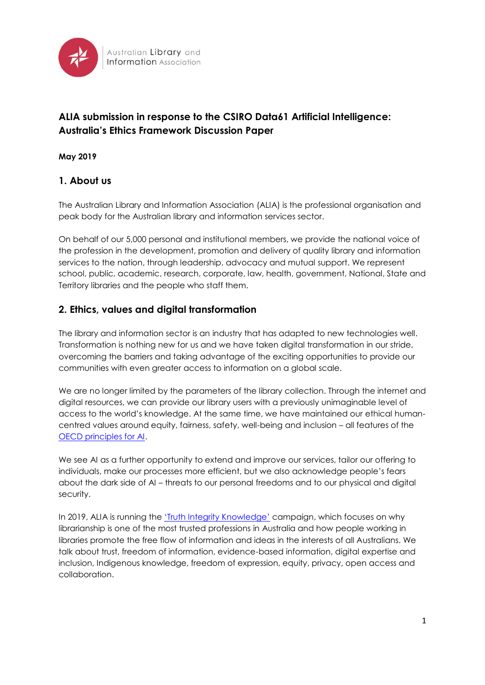

# **ALIA submission in response to the CSIRO Data61 Artificial Intelligence: Australia's Ethics Framework Discussion Paper**

### **May 2019**

### **1. About us**

The Australian Library and Information Association (ALIA) is the professional organisation and peak body for the Australian library and information services sector.

On behalf of our 5,000 personal and institutional members, we provide the national voice of the profession in the development, promotion and delivery of quality library and information services to the nation, through leadership, advocacy and mutual support. We represent school, public, academic, research, corporate, law, health, government, National, State and Territory libraries and the people who staff them.

### **2. Ethics, values and digital transformation**

The library and information sector is an industry that has adapted to new technologies well. Transformation is nothing new for us and we have taken digital transformation in our stride, overcoming the barriers and taking advantage of the exciting opportunities to provide our communities with even greater access to information on a global scale.

We are no longer limited by the parameters of the library collection. Through the internet and digital resources, we can provide our library users with a previously unimaginable level of access to the world's knowledge. At the same time, we have maintained our ethical humancentred values around equity, fairness, safety, well-being and inclusion – all features of the [OECD principles for AI.](https://legalinstruments.oecd.org/en/instruments/OECD-LEGAL-0449)

We see AI as a further opportunity to extend and improve our services, tailor our offering to individuals, make our processes more efficient, but we also acknowledge people's fears about the dark side of AI – threats to our personal freedoms and to our physical and digital security.

In 2019, ALIA is running the '*[Truth Integrity Knowledge](https://fair.alia.org.au/sites/fair.alia.org.au/files/u158/TIK%20Poster%20A3_black%20text.pdf)'* campaign, which focuses on why librarianship is one of the most trusted professions in Australia and how people working in libraries promote the free flow of information and ideas in the interests of all Australians. We talk about trust, freedom of information, evidence-based information, digital expertise and inclusion, Indigenous knowledge, freedom of expression, equity, privacy, open access and collaboration.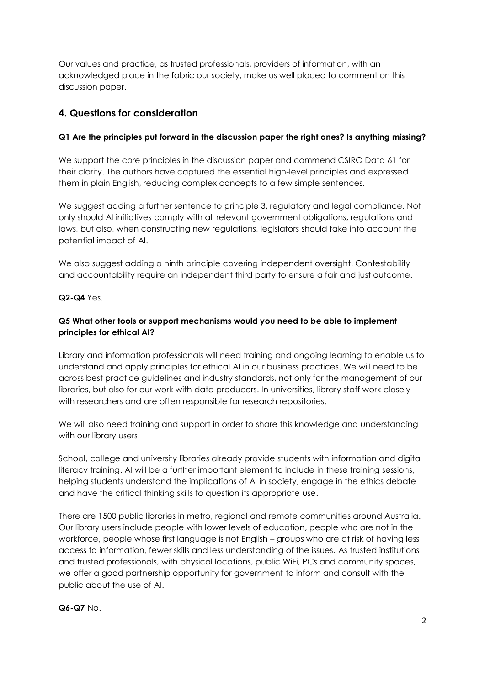Our values and practice, as trusted professionals, providers of information, with an acknowledged place in the fabric our society, make us well placed to comment on this discussion paper.

## **4. Questions for consideration**

### **Q1 Are the principles put forward in the discussion paper the right ones? Is anything missing?**

We support the core principles in the discussion paper and commend CSIRO Data 61 for their clarity. The authors have captured the essential high-level principles and expressed them in plain English, reducing complex concepts to a few simple sentences.

We suggest adding a further sentence to principle 3, regulatory and legal compliance. Not only should AI initiatives comply with all relevant government obligations, regulations and laws, but also, when constructing new regulations, legislators should take into account the potential impact of AI.

We also suggest adding a ninth principle covering independent oversight. Contestability and accountability require an independent third party to ensure a fair and just outcome.

**Q2-Q4** Yes.

### **Q5 What other tools or support mechanisms would you need to be able to implement principles for ethical AI?**

Library and information professionals will need training and ongoing learning to enable us to understand and apply principles for ethical AI in our business practices. We will need to be across best practice guidelines and industry standards, not only for the management of our libraries, but also for our work with data producers. In universities, library staff work closely with researchers and are often responsible for research repositories.

We will also need training and support in order to share this knowledge and understanding with our library users.

School, college and university libraries already provide students with information and digital literacy training. AI will be a further important element to include in these training sessions, helping students understand the implications of AI in society, engage in the ethics debate and have the critical thinking skills to question its appropriate use.

There are 1500 public libraries in metro, regional and remote communities around Australia. Our library users include people with lower levels of education, people who are not in the workforce, people whose first language is not English – groups who are at risk of having less access to information, fewer skills and less understanding of the issues. As trusted institutions and trusted professionals, with physical locations, public WiFi, PCs and community spaces, we offer a good partnership opportunity for government to inform and consult with the public about the use of AI.

**Q6-Q7** No.